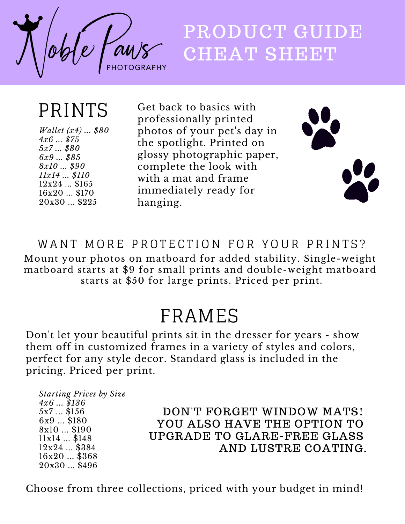

# PRODUCT GUIDE CHEAT SHEET

### PRINTS

*Wallet (x4) ... \$80 4x6 ... \$75 5x7 ... \$80 6x9 ... \$85 8x10 ... \$90 11x14 ... \$110* 12x24 ... \$165 16x20 ... \$170 20x30 ... \$225

Get back to basics with professionally printed photos of your pet's day in the spotlight. Printed on glossy photographic paper, complete the look with with a mat and frame immediately ready for hanging.



WANT MORE PROTECTION FOR YOUR PRINTS? Mount your photos on matboard for added stability. Single-weight matboard starts at \$9 for small prints and double-weight matboard starts at \$50 for large prints. Priced per print.

#### FRAMES

Don't let your beautiful prints sit in the dresser for years - show them off in customized frames in a variety of styles and colors, perfect for any style decor. Standard glass is included in the pricing. Priced per print.

*Starting Prices by Size 4x6 ... \$136* 5x7 ... \$156 6x9 ... \$180 8x10 ... \$190 11x14 ... \$148 12x24 ... \$384 16x20 ... \$368 20x30 ... \$496

DON'T FORGET WINDOW MATS! YOU ALSO HAVE THE OPTION TO UPGRADE TO GLARE-FREE GLASS AND LUSTRE COATING.

Choose from three collections, priced with your budget in mind!